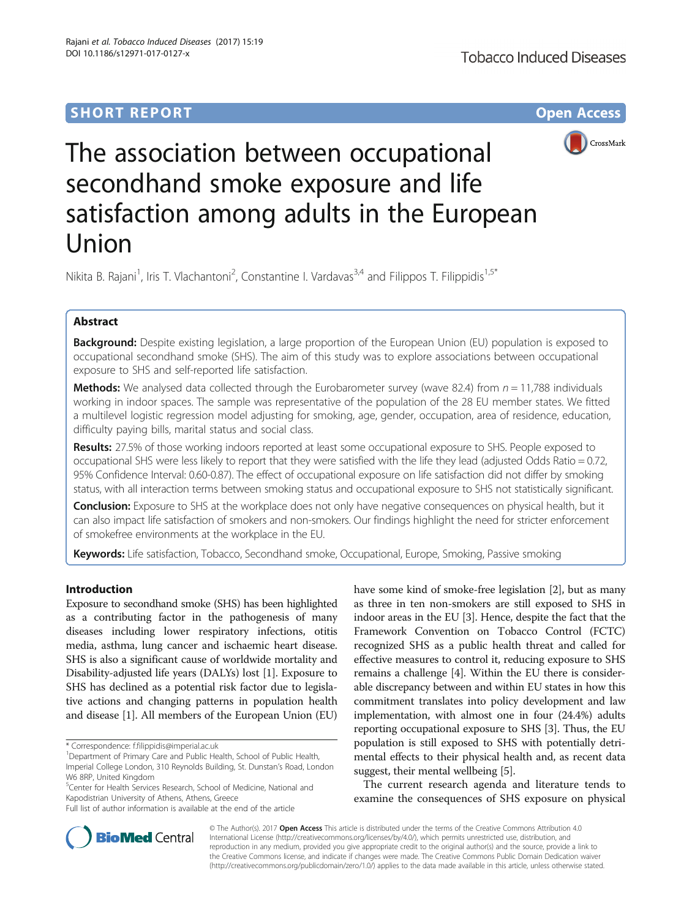

# The association between occupational secondhand smoke exposure and life satisfaction among adults in the European Union

Nikita B. Rajani<sup>1</sup>, Iris T. Vlachantoni<sup>2</sup>, Constantine I. Vardavas<sup>3,4</sup> and Filippos T. Filippidis<sup>1,5\*</sup>

# Abstract

Background: Despite existing legislation, a large proportion of the European Union (EU) population is exposed to occupational secondhand smoke (SHS). The aim of this study was to explore associations between occupational exposure to SHS and self-reported life satisfaction.

**Methods:** We analysed data collected through the Eurobarometer survey (wave 82.4) from  $n = 11,788$  individuals working in indoor spaces. The sample was representative of the population of the 28 EU member states. We fitted a multilevel logistic regression model adjusting for smoking, age, gender, occupation, area of residence, education, difficulty paying bills, marital status and social class.

Results: 27.5% of those working indoors reported at least some occupational exposure to SHS. People exposed to occupational SHS were less likely to report that they were satisfied with the life they lead (adjusted Odds Ratio = 0.72, 95% Confidence Interval: 0.60-0.87). The effect of occupational exposure on life satisfaction did not differ by smoking status, with all interaction terms between smoking status and occupational exposure to SHS not statistically significant.

Conclusion: Exposure to SHS at the workplace does not only have negative consequences on physical health, but it can also impact life satisfaction of smokers and non-smokers. Our findings highlight the need for stricter enforcement of smokefree environments at the workplace in the EU.

Keywords: Life satisfaction, Tobacco, Secondhand smoke, Occupational, Europe, Smoking, Passive smoking

# Introduction

Exposure to secondhand smoke (SHS) has been highlighted as a contributing factor in the pathogenesis of many diseases including lower respiratory infections, otitis media, asthma, lung cancer and ischaemic heart disease. SHS is also a significant cause of worldwide mortality and Disability-adjusted life years (DALYs) lost [\[1](#page-4-0)]. Exposure to SHS has declined as a potential risk factor due to legislative actions and changing patterns in population health and disease [\[1](#page-4-0)]. All members of the European Union (EU)

W6 8RP, United Kingdom 5 Center for Health Services Research, School of Medicine, National and Kapodistrian University of Athens, Athens, Greece

Full list of author information is available at the end of the article

have some kind of smoke-free legislation [[2\]](#page-4-0), but as many as three in ten non-smokers are still exposed to SHS in indoor areas in the EU [\[3\]](#page-4-0). Hence, despite the fact that the Framework Convention on Tobacco Control (FCTC) recognized SHS as a public health threat and called for effective measures to control it, reducing exposure to SHS remains a challenge [\[4](#page-4-0)]. Within the EU there is considerable discrepancy between and within EU states in how this commitment translates into policy development and law implementation, with almost one in four (24.4%) adults reporting occupational exposure to SHS [[3\]](#page-4-0). Thus, the EU population is still exposed to SHS with potentially detrimental effects to their physical health and, as recent data suggest, their mental wellbeing [[5\]](#page-4-0).

The current research agenda and literature tends to examine the consequences of SHS exposure on physical



© The Author(s). 2017 Open Access This article is distributed under the terms of the Creative Commons Attribution 4.0 International License [\(http://creativecommons.org/licenses/by/4.0/](http://creativecommons.org/licenses/by/4.0/)), which permits unrestricted use, distribution, and reproduction in any medium, provided you give appropriate credit to the original author(s) and the source, provide a link to the Creative Commons license, and indicate if changes were made. The Creative Commons Public Domain Dedication waiver [\(http://creativecommons.org/publicdomain/zero/1.0/](http://creativecommons.org/publicdomain/zero/1.0/)) applies to the data made available in this article, unless otherwise stated.

<sup>\*</sup> Correspondence: [f.filippidis@imperial.ac.uk](mailto:f.filippidis@imperial.ac.uk) <sup>1</sup>

<sup>&</sup>lt;sup>1</sup> Department of Primary Care and Public Health, School of Public Health, Imperial College London, 310 Reynolds Building, St. Dunstan's Road, London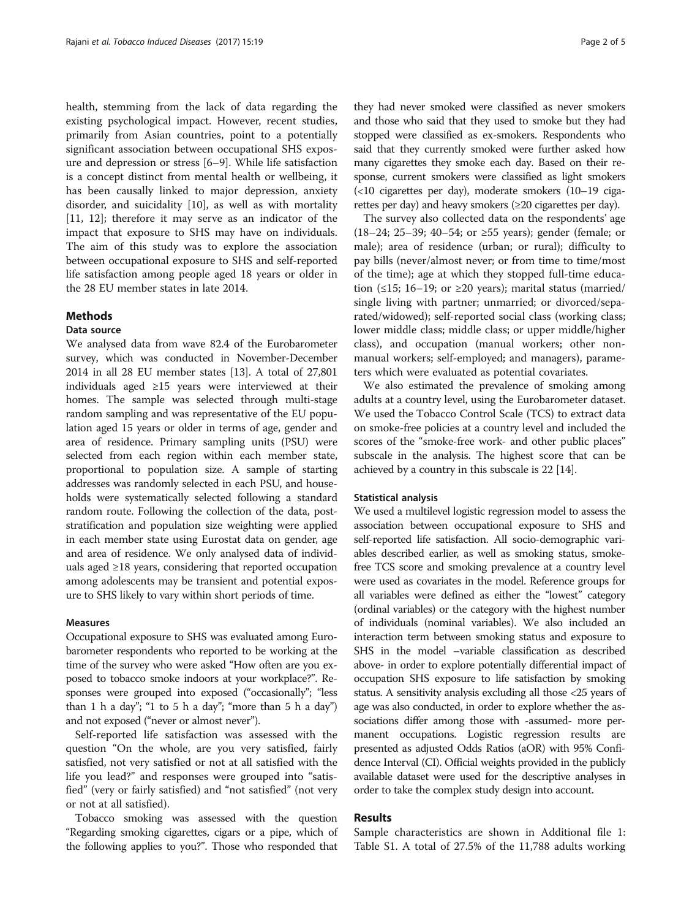health, stemming from the lack of data regarding the existing psychological impact. However, recent studies, primarily from Asian countries, point to a potentially significant association between occupational SHS exposure and depression or stress [[6](#page-4-0)–[9\]](#page-4-0). While life satisfaction is a concept distinct from mental health or wellbeing, it has been causally linked to major depression, anxiety disorder, and suicidality [[10](#page-4-0)], as well as with mortality [[11, 12](#page-4-0)]; therefore it may serve as an indicator of the impact that exposure to SHS may have on individuals. The aim of this study was to explore the association between occupational exposure to SHS and self-reported life satisfaction among people aged 18 years or older in the 28 EU member states in late 2014.

## **Methods**

## Data source

We analysed data from wave 82.4 of the Eurobarometer survey, which was conducted in November-December 2014 in all 28 EU member states [\[13\]](#page-4-0). A total of 27,801 individuals aged ≥15 years were interviewed at their homes. The sample was selected through multi-stage random sampling and was representative of the EU population aged 15 years or older in terms of age, gender and area of residence. Primary sampling units (PSU) were selected from each region within each member state, proportional to population size. A sample of starting addresses was randomly selected in each PSU, and households were systematically selected following a standard random route. Following the collection of the data, poststratification and population size weighting were applied in each member state using Eurostat data on gender, age and area of residence. We only analysed data of individuals aged ≥18 years, considering that reported occupation among adolescents may be transient and potential exposure to SHS likely to vary within short periods of time.

## Measures

Occupational exposure to SHS was evaluated among Eurobarometer respondents who reported to be working at the time of the survey who were asked "How often are you exposed to tobacco smoke indoors at your workplace?". Responses were grouped into exposed ("occasionally"; "less than 1 h a day"; "1 to 5 h a day"; "more than 5 h a day") and not exposed ("never or almost never").

Self-reported life satisfaction was assessed with the question "On the whole, are you very satisfied, fairly satisfied, not very satisfied or not at all satisfied with the life you lead?" and responses were grouped into "satisfied" (very or fairly satisfied) and "not satisfied" (not very or not at all satisfied).

Tobacco smoking was assessed with the question "Regarding smoking cigarettes, cigars or a pipe, which of the following applies to you?". Those who responded that they had never smoked were classified as never smokers and those who said that they used to smoke but they had stopped were classified as ex-smokers. Respondents who said that they currently smoked were further asked how many cigarettes they smoke each day. Based on their response, current smokers were classified as light smokers (<10 cigarettes per day), moderate smokers (10–19 cigarettes per day) and heavy smokers (≥20 cigarettes per day).

The survey also collected data on the respondents' age (18–24; 25–39; 40–54; or ≥55 years); gender (female; or male); area of residence (urban; or rural); difficulty to pay bills (never/almost never; or from time to time/most of the time); age at which they stopped full-time education (≤15; 16–19; or ≥20 years); marital status (married/ single living with partner; unmarried; or divorced/separated/widowed); self-reported social class (working class; lower middle class; middle class; or upper middle/higher class), and occupation (manual workers; other nonmanual workers; self-employed; and managers), parameters which were evaluated as potential covariates.

We also estimated the prevalence of smoking among adults at a country level, using the Eurobarometer dataset. We used the Tobacco Control Scale (TCS) to extract data on smoke-free policies at a country level and included the scores of the "smoke-free work- and other public places" subscale in the analysis. The highest score that can be achieved by a country in this subscale is 22 [[14](#page-4-0)].

#### Statistical analysis

We used a multilevel logistic regression model to assess the association between occupational exposure to SHS and self-reported life satisfaction. All socio-demographic variables described earlier, as well as smoking status, smokefree TCS score and smoking prevalence at a country level were used as covariates in the model. Reference groups for all variables were defined as either the "lowest" category (ordinal variables) or the category with the highest number of individuals (nominal variables). We also included an interaction term between smoking status and exposure to SHS in the model –variable classification as described above- in order to explore potentially differential impact of occupation SHS exposure to life satisfaction by smoking status. A sensitivity analysis excluding all those <25 years of age was also conducted, in order to explore whether the associations differ among those with -assumed- more permanent occupations. Logistic regression results are presented as adjusted Odds Ratios (aOR) with 95% Confidence Interval (CI). Official weights provided in the publicly available dataset were used for the descriptive analyses in order to take the complex study design into account.

## Results

Sample characteristics are shown in Additional file [1](#page-3-0): Table S1. A total of 27.5% of the 11,788 adults working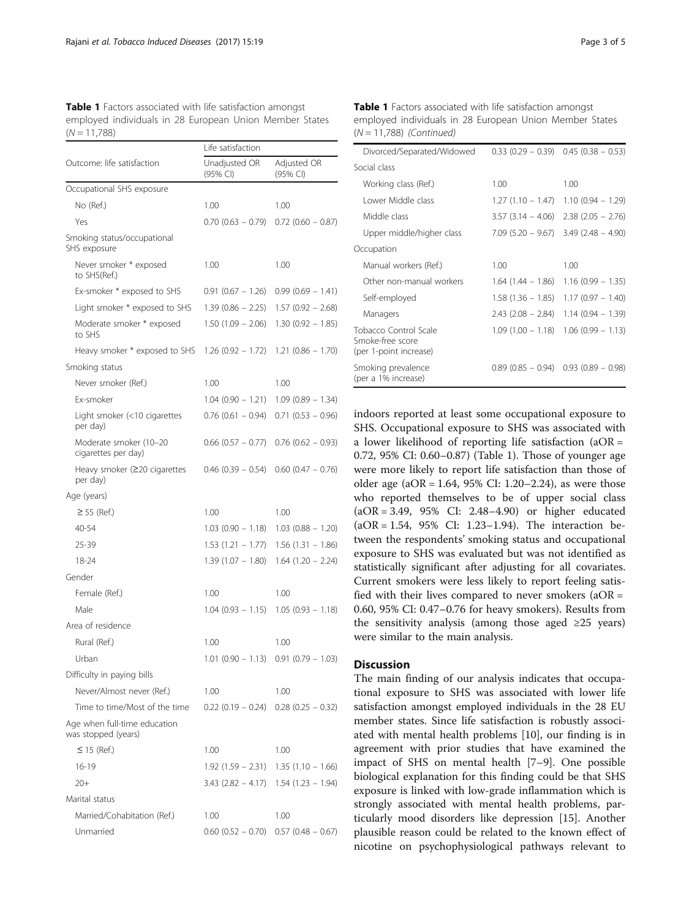Table 1 Factors associated with life satisfaction amongst employed individuals in 28 European Union Member States  $(N = 11,788)$ 

|                                                     | Life satisfaction         |                                         |
|-----------------------------------------------------|---------------------------|-----------------------------------------|
| Outcome: life satisfaction                          | Unadjusted OR<br>(95% CI) | Adjusted OR<br>(95% CI)                 |
| Occupational SHS exposure                           |                           |                                         |
| No (Ref.)                                           | 1.00                      | 1.00                                    |
| Yes                                                 | $0.70(0.63 - 0.79)$       | $0.72$ (0.60 – 0.87)                    |
| Smoking status/occupational<br>SHS exposure         |                           |                                         |
| Never smoker * exposed<br>to SHS(Ref.)              | 1.00                      | 1.00                                    |
| Ex-smoker * exposed to SHS                          | $0.91(0.67 - 1.26)$       | $0.99(0.69 - 1.41)$                     |
| Light smoker * exposed to SHS                       | $1.39(0.86 - 2.25)$       | $1.57(0.92 - 2.68)$                     |
| Moderate smoker * exposed<br>to SHS                 | $1.50(1.09 - 2.06)$       | $1.30(0.92 - 1.85)$                     |
| Heavy smoker * exposed to SHS                       | $1.26(0.92 - 1.72)$       | $1.21(0.86 - 1.70)$                     |
| Smoking status                                      |                           |                                         |
| Never smoker (Ref.)                                 | 1.00                      | 1.00                                    |
| Ex-smoker                                           | $1.04(0.90 - 1.21)$       | $1.09(0.89 - 1.34)$                     |
| Light smoker (<10 cigarettes<br>per day)            | $0.76(0.61 - 0.94)$       | $0.71(0.53 - 0.96)$                     |
| Moderate smoker (10-20<br>cigarettes per day)       | $0.66$ (0.57 - 0.77)      | $0.76$ (0.62 – 0.93)                    |
| Heavy smoker (≥20 cigarettes<br>per day)            | $0.46$ (0.39 - 0.54)      | $0.60$ (0.47 - 0.76)                    |
| Age (years)                                         |                           |                                         |
| $\geq$ 55 (Ref.)                                    | 1.00                      | 1.00                                    |
| 40-54                                               | $1.03(0.90 - 1.18)$       | $1.03(0.88 - 1.20)$                     |
| 25-39                                               | $1.53(1.21 - 1.77)$       | $1.56(1.31 - 1.86)$                     |
| 18-24                                               | $1.39(1.07 - 1.80)$       | $1.64$ (1.20 - 2.24)                    |
| Gender                                              |                           |                                         |
| Female (Ref.)                                       | 1.00                      | 1.00                                    |
| Male                                                | $1.04(0.93 - 1.15)$       | $1.05(0.93 - 1.18)$                     |
| Area of residence                                   |                           |                                         |
| Rural (Ref.)                                        | 1.00                      | 1.00                                    |
| Urban                                               |                           | $1.01$ (0.90 - 1.13) 0.91 (0.79 - 1.03) |
| Difficulty in paying bills                          |                           |                                         |
| Never/Almost never (Ref.)                           | 1.00                      | 1.00                                    |
| Time to time/Most of the time                       | $0.22(0.19 - 0.24)$       | $0.28$ (0.25 – 0.32)                    |
| Age when full-time education<br>was stopped (years) |                           |                                         |
| $\leq$ 15 (Ref.)                                    | 1.00                      | 1.00                                    |
| $16 - 19$                                           | 1.92 (1.59 – 2.31)        | $1.35(1.10 - 1.66)$                     |
| $20+$                                               | $3.43(2.82 - 4.17)$       | $1.54(1.23 - 1.94)$                     |
| Marital status                                      |                           |                                         |
| Married/Cohabitation (Ref.)                         | 1.00                      | 1.00                                    |
| Unmarried                                           | $0.60$ $(0.52 - 0.70)$    | $0.57$ (0.48 – 0.67)                    |

Table 1 Factors associated with life satisfaction amongst employed individuals in 28 European Union Member States  $(N = 11,788)$  (Continued)

| Divorced/Separated/Widowed                                          |                      | $0.33(0.29 - 0.39)$ 0.45 $(0.38 - 0.53)$      |
|---------------------------------------------------------------------|----------------------|-----------------------------------------------|
| Social class                                                        |                      |                                               |
| Working class (Ref.)                                                | 1.00                 | 1.00                                          |
| Lower Middle class                                                  | $1.27(1.10 - 1.47)$  | $1.10(0.94 - 1.29)$                           |
| Middle class                                                        |                      | $3.57$ $(3.14 - 4.06)$ $2.38$ $(2.05 - 2.76)$ |
| Upper middle/higher class                                           | $7.09(5.20 - 9.67)$  | $3.49(2.48 - 4.90)$                           |
| Occupation                                                          |                      |                                               |
| Manual workers (Ref.)                                               | 1.00                 | 1.00                                          |
| Other non-manual workers                                            | 1.64 (1.44 – 1.86)   | $1.16(0.99 - 1.35)$                           |
| Self-employed                                                       | $1.58(1.36 - 1.85)$  | $1.17(0.97 - 1.40)$                           |
| Managers                                                            | $2.43$ (2.08 – 2.84) | $1.14(0.94 - 1.39)$                           |
| Tobacco Control Scale<br>Smoke-free score<br>(per 1-point increase) | $1.09(1.00 - 1.18)$  | $1.06(0.99 - 1.13)$                           |
| Smoking prevalence<br>(per a 1% increase)                           |                      | $0.89(0.85 - 0.94)$ 0.93 $(0.89 - 0.98)$      |

indoors reported at least some occupational exposure to SHS. Occupational exposure to SHS was associated with a lower likelihood of reporting life satisfaction (aOR = 0.72, 95% CI: 0.60–0.87) (Table 1). Those of younger age were more likely to report life satisfaction than those of older age  $(aOR = 1.64, 95\% \text{ CI: } 1.20-2.24)$ , as were those who reported themselves to be of upper social class (aOR = 3.49, 95% CI: 2.48–4.90) or higher educated (aOR = 1.54, 95% CI: 1.23–1.94). The interaction between the respondents' smoking status and occupational exposure to SHS was evaluated but was not identified as statistically significant after adjusting for all covariates. Current smokers were less likely to report feeling satisfied with their lives compared to never smokers  $(aOR =$ 0.60, 95% CI: 0.47–0.76 for heavy smokers). Results from the sensitivity analysis (among those aged  $\geq 25$  years) were similar to the main analysis.

## **Discussion**

The main finding of our analysis indicates that occupational exposure to SHS was associated with lower life satisfaction amongst employed individuals in the 28 EU member states. Since life satisfaction is robustly associated with mental health problems [\[10\]](#page-4-0), our finding is in agreement with prior studies that have examined the impact of SHS on mental health [[7](#page-4-0)–[9\]](#page-4-0). One possible biological explanation for this finding could be that SHS exposure is linked with low-grade inflammation which is strongly associated with mental health problems, particularly mood disorders like depression [\[15](#page-4-0)]. Another plausible reason could be related to the known effect of nicotine on psychophysiological pathways relevant to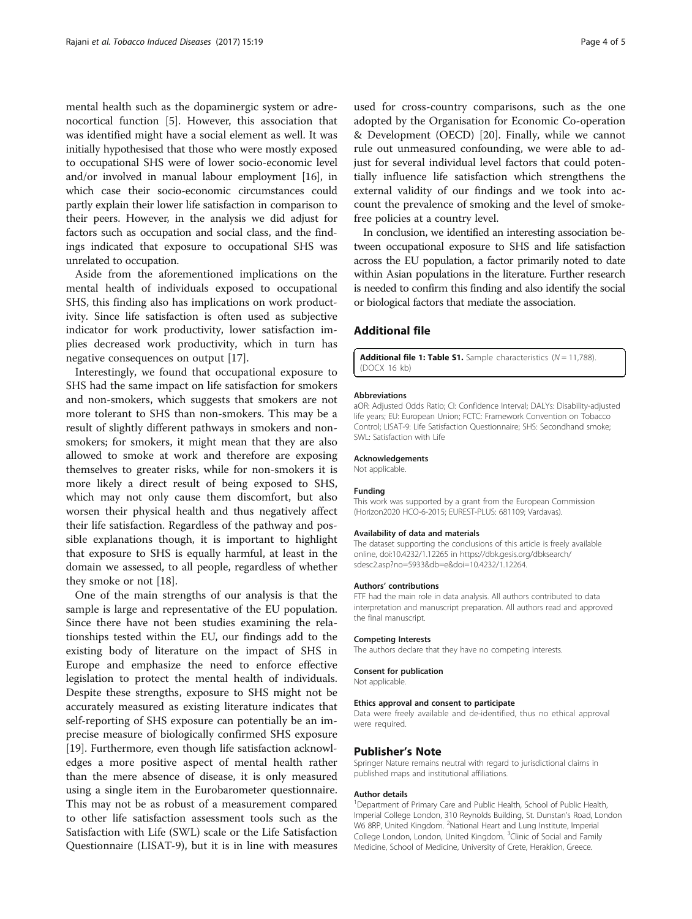<span id="page-3-0"></span>mental health such as the dopaminergic system or adrenocortical function [\[5](#page-4-0)]. However, this association that was identified might have a social element as well. It was initially hypothesised that those who were mostly exposed to occupational SHS were of lower socio-economic level and/or involved in manual labour employment [\[16\]](#page-4-0), in which case their socio-economic circumstances could partly explain their lower life satisfaction in comparison to their peers. However, in the analysis we did adjust for factors such as occupation and social class, and the findings indicated that exposure to occupational SHS was unrelated to occupation.

Aside from the aforementioned implications on the mental health of individuals exposed to occupational SHS, this finding also has implications on work productivity. Since life satisfaction is often used as subjective indicator for work productivity, lower satisfaction implies decreased work productivity, which in turn has negative consequences on output [\[17\]](#page-4-0).

Interestingly, we found that occupational exposure to SHS had the same impact on life satisfaction for smokers and non-smokers, which suggests that smokers are not more tolerant to SHS than non-smokers. This may be a result of slightly different pathways in smokers and nonsmokers; for smokers, it might mean that they are also allowed to smoke at work and therefore are exposing themselves to greater risks, while for non-smokers it is more likely a direct result of being exposed to SHS, which may not only cause them discomfort, but also worsen their physical health and thus negatively affect their life satisfaction. Regardless of the pathway and possible explanations though, it is important to highlight that exposure to SHS is equally harmful, at least in the domain we assessed, to all people, regardless of whether they smoke or not [[18\]](#page-4-0).

One of the main strengths of our analysis is that the sample is large and representative of the EU population. Since there have not been studies examining the relationships tested within the EU, our findings add to the existing body of literature on the impact of SHS in Europe and emphasize the need to enforce effective legislation to protect the mental health of individuals. Despite these strengths, exposure to SHS might not be accurately measured as existing literature indicates that self-reporting of SHS exposure can potentially be an imprecise measure of biologically confirmed SHS exposure [[19\]](#page-4-0). Furthermore, even though life satisfaction acknowledges a more positive aspect of mental health rather than the mere absence of disease, it is only measured using a single item in the Eurobarometer questionnaire. This may not be as robust of a measurement compared to other life satisfaction assessment tools such as the Satisfaction with Life (SWL) scale or the Life Satisfaction Questionnaire (LISAT-9), but it is in line with measures

used for cross-country comparisons, such as the one adopted by the Organisation for Economic Co-operation & Development (OECD) [[20\]](#page-4-0). Finally, while we cannot rule out unmeasured confounding, we were able to adjust for several individual level factors that could potentially influence life satisfaction which strengthens the external validity of our findings and we took into account the prevalence of smoking and the level of smokefree policies at a country level.

In conclusion, we identified an interesting association between occupational exposure to SHS and life satisfaction across the EU population, a factor primarily noted to date within Asian populations in the literature. Further research is needed to confirm this finding and also identify the social or biological factors that mediate the association.

## Additional file

**[Additional file 1: Table S1.](dx.doi.org/10.1186/s12971-017-0127-x)** Sample characteristics ( $N = 11,788$ ). (DOCX 16 kb)

#### Abbreviations

aOR: Adjusted Odds Ratio; CI: Confidence Interval; DALYs: Disability-adjusted life years; EU: European Union; FCTC: Framework Convention on Tobacco Control; LISAT-9: Life Satisfaction Questionnaire; SHS: Secondhand smoke; SWL: Satisfaction with Life

#### Acknowledgements

Not applicable.

#### Funding

This work was supported by a grant from the European Commission (Horizon2020 HCO-6-2015; EUREST-PLUS: 681109; Vardavas).

#### Availability of data and materials

The dataset supporting the conclusions of this article is freely available online, doi:[10.4232/1.12265](http://dx.doi.org/10.4232/1.12265) in [https://dbk.gesis.org/dbksearch/](https://dbk.gesis.org/dbksearch/sdesc2.asp?no=5933&db=e&doi=10.4232/1.12264) [sdesc2.asp?no=5933&db=e&doi=10.4232/1.12264.](https://dbk.gesis.org/dbksearch/sdesc2.asp?no=5933&db=e&doi=10.4232/1.12264)

#### Authors' contributions

FTF had the main role in data analysis. All authors contributed to data interpretation and manuscript preparation. All authors read and approved the final manuscript.

#### Competing Interests

The authors declare that they have no competing interests.

## Consent for publication

Not applicable.

# Ethics approval and consent to participate

Data were freely available and de-identified, thus no ethical approval were required.

#### Publisher's Note

Springer Nature remains neutral with regard to jurisdictional claims in published maps and institutional affiliations.

#### Author details

<sup>1</sup>Department of Primary Care and Public Health, School of Public Health, Imperial College London, 310 Reynolds Building, St. Dunstan's Road, London W6 8RP, United Kingdom. <sup>2</sup>National Heart and Lung Institute, Imperial College London, London, United Kingdom. <sup>3</sup>Clinic of Social and Family Medicine, School of Medicine, University of Crete, Heraklion, Greece.